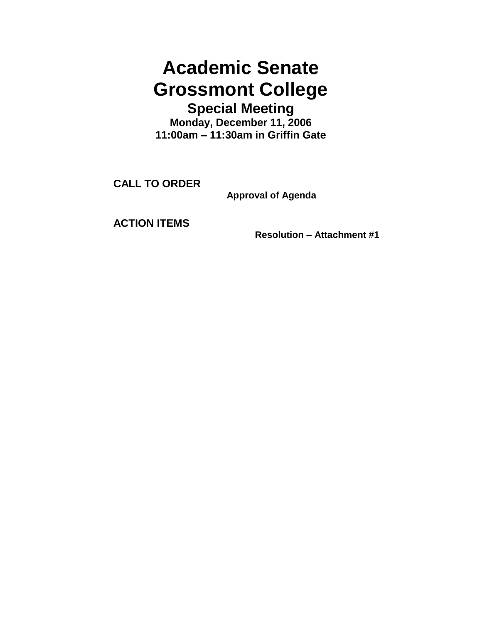## **Academic Senate Grossmont College Special Meeting**

**Monday, December 11, 2006 11:00am – 11:30am in Griffin Gate**

**CALL TO ORDER**

**Approval of Agenda**

**ACTION ITEMS**

**Resolution – Attachment #1**